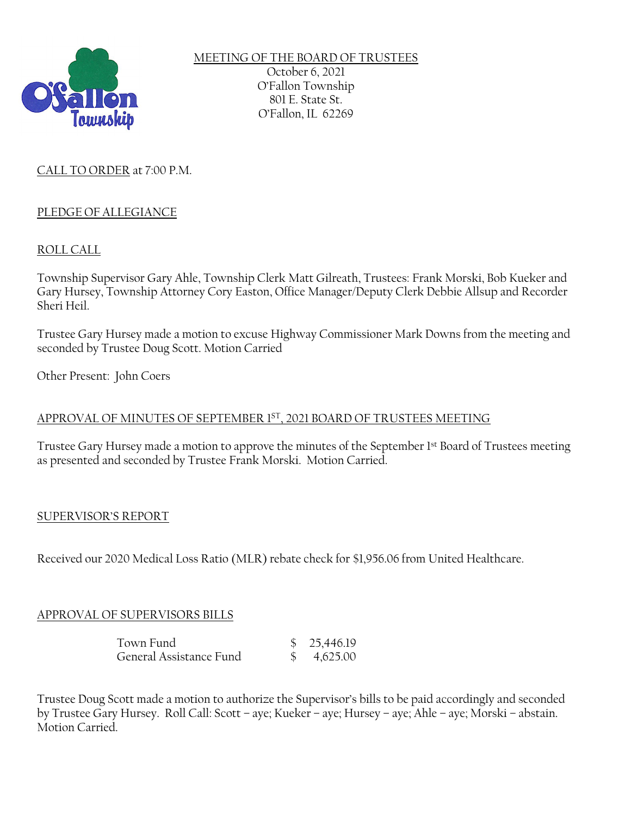

MEETING OF THE BOARD OF TRUSTEES October 6, 2021 O'Fallon Township 801 E. State St. O'Fallon, IL 62269

# CALL TO ORDER at 7:00 P.M.

## PLEDGE OF ALLEGIANCE

## ROLL CALL

Township Supervisor Gary Ahle, Township Clerk Matt Gilreath, Trustees: Frank Morski, Bob Kueker and Gary Hursey, Township Attorney Cory Easton, Office Manager/Deputy Clerk Debbie Allsup and Recorder Sheri Heil.

Trustee Gary Hursey made a motion to excuse Highway Commissioner Mark Downs from the meeting and seconded by Trustee Doug Scott. Motion Carried

Other Present: John Coers

## APPROVAL OF MINUTES OF SEPTEMBER 1ST, 2021 BOARD OF TRUSTEES MEETING

Trustee Gary Hursey made a motion to approve the minutes of the September 1st Board of Trustees meeting as presented and seconded by Trustee Frank Morski. Motion Carried.

## SUPERVISOR'S REPORT

Received our 2020 Medical Loss Ratio (MLR) rebate check for \$1,956.06 from United Healthcare.

# APPROVAL OF SUPERVISORS BILLS

| Town Fund               | \$25,446.19            |
|-------------------------|------------------------|
| General Assistance Fund | $\frac{1}{2}$ 4,625.00 |

Trustee Doug Scott made a motion to authorize the Supervisor's bills to be paid accordingly and seconded by Trustee Gary Hursey. Roll Call: Scott – aye; Kueker – aye; Hursey – aye; Ahle – aye; Morski – abstain. Motion Carried.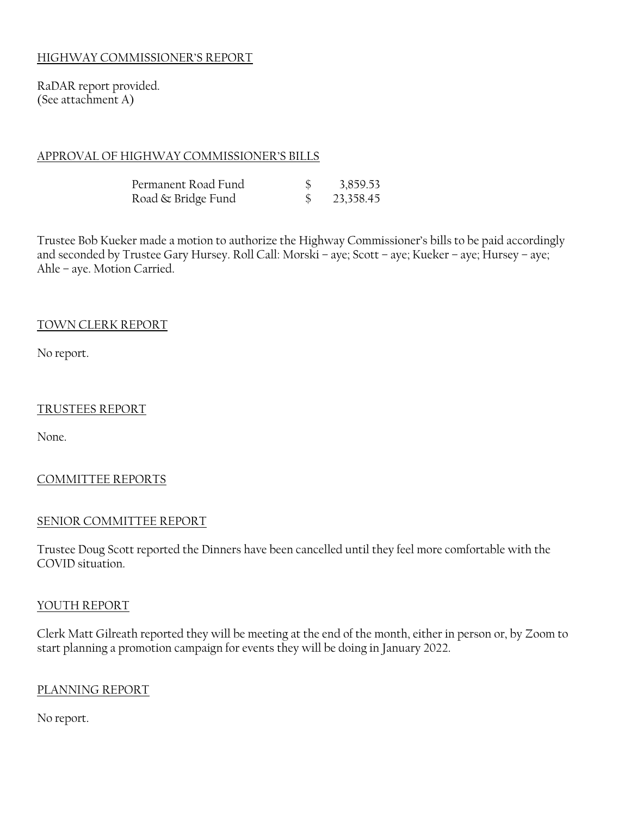## HIGHWAY COMMISSIONER'S REPORT

RaDAR report provided. (See attachment A)

### APPROVAL OF HIGHWAY COMMISSIONER'S BILLS

| Permanent Road Fund | 3,859.53  |
|---------------------|-----------|
| Road & Bridge Fund  | 23,358.45 |

Trustee Bob Kueker made a motion to authorize the Highway Commissioner's bills to be paid accordingly and seconded by Trustee Gary Hursey. Roll Call: Morski – aye; Scott – aye; Kueker – aye; Hursey – aye; Ahle – aye. Motion Carried.

### TOWN CLERK REPORT

No report.

### TRUSTEES REPORT

None.

## COMMITTEE REPORTS

### SENIOR COMMITTEE REPORT

Trustee Doug Scott reported the Dinners have been cancelled until they feel more comfortable with the COVID situation.

### YOUTH REPORT

Clerk Matt Gilreath reported they will be meeting at the end of the month, either in person or, by Zoom to start planning a promotion campaign for events they will be doing in January 2022.

### PLANNING REPORT

No report.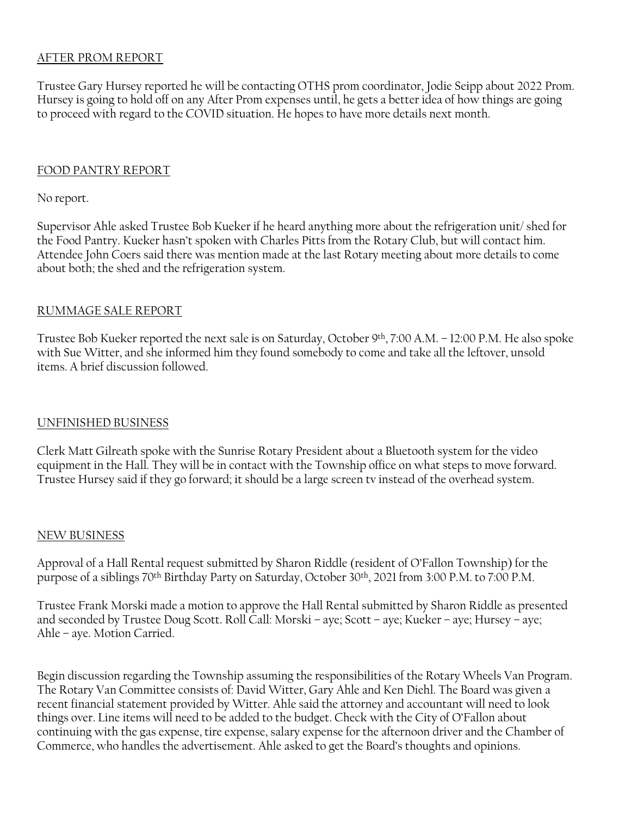## AFTER PROM REPORT

Trustee Gary Hursey reported he will be contacting OTHS prom coordinator, Jodie Seipp about 2022 Prom. Hursey is going to hold off on any After Prom expenses until, he gets a better idea of how things are going to proceed with regard to the COVID situation. He hopes to have more details next month.

### FOOD PANTRY REPORT

### No report.

Supervisor Ahle asked Trustee Bob Kueker if he heard anything more about the refrigeration unit/ shed for the Food Pantry. Kueker hasn't spoken with Charles Pitts from the Rotary Club, but will contact him. Attendee John Coers said there was mention made at the last Rotary meeting about more details to come about both; the shed and the refrigeration system.

### RUMMAGE SALE REPORT

Trustee Bob Kueker reported the next sale is on Saturday, October 9<sup>th</sup>, 7:00 A.M. – 12:00 P.M. He also spoke with Sue Witter, and she informed him they found somebody to come and take all the leftover, unsold items. A brief discussion followed.

### UNFINISHED BUSINESS

Clerk Matt Gilreath spoke with the Sunrise Rotary President about a Bluetooth system for the video equipment in the Hall. They will be in contact with the Township office on what steps to move forward. Trustee Hursey said if they go forward; it should be a large screen tv instead of the overhead system.

#### NEW BUSINESS

Approval of a Hall Rental request submitted by Sharon Riddle (resident of O'Fallon Township) for the purpose of a siblings 70th Birthday Party on Saturday, October 30th, 2021 from 3:00 P.M. to 7:00 P.M.

Trustee Frank Morski made a motion to approve the Hall Rental submitted by Sharon Riddle as presented and seconded by Trustee Doug Scott. Roll Call: Morski – aye; Scott – aye; Kueker – aye; Hursey – aye; Ahle – aye. Motion Carried.

Begin discussion regarding the Township assuming the responsibilities of the Rotary Wheels Van Program. The Rotary Van Committee consists of: David Witter, Gary Ahle and Ken Diehl. The Board was given a recent financial statement provided by Witter. Ahle said the attorney and accountant will need to look things over. Line items will need to be added to the budget. Check with the City of O'Fallon about continuing with the gas expense, tire expense, salary expense for the afternoon driver and the Chamber of Commerce, who handles the advertisement. Ahle asked to get the Board's thoughts and opinions.